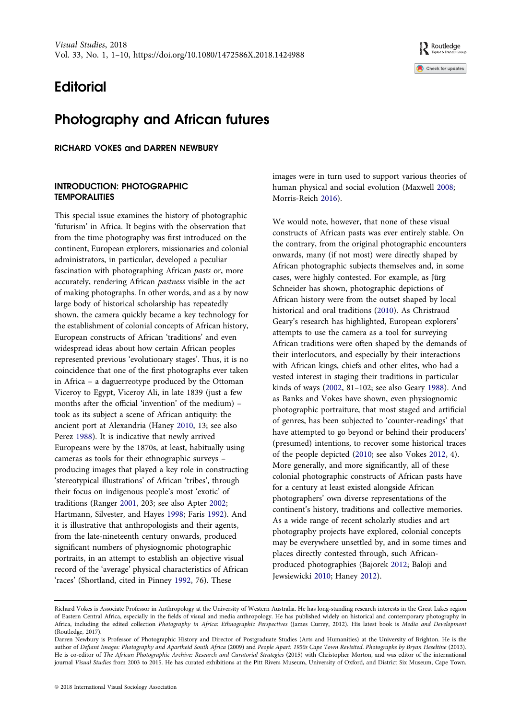# <span id="page-0-0"></span>**Editorial**

# Photography and African futures

RICHARD VOKES and DARREN NEWBURY

# INTRODUCTION: PHOTOGRAPHIC TEMPORALITIES

This special issue examines the history of photographic 'futurism' in Africa. It begins with the observation that from the time photography was first introduced on the continent, European explorers, missionaries and colonial administrators, in particular, developed a peculiar fascination with photographing African pasts or, more accurately, rendering African pastness visible in the act of making photographs. In other words, and as a by now large body of historical scholarship has repeatedly shown, the camera quickly became a key technology for the establishment of colonial concepts of African history, European constructs of African 'traditions' and even widespread ideas about how certain African peoples represented previous 'evolutionary stages'. Thus, it is no coincidence that one of the first photographs ever taken in Africa – a daguerreotype produced by the Ottoman Viceroy to Egypt, Viceroy Ali, in late 1839 (just a few months after the official 'invention' of the medium) – took as its subject a scene of African antiquity: the ancient port at Alexandria (Haney [2010,](#page-8-0) 13; see also Perez [1988\)](#page-9-0). It is indicative that newly arrived Europeans were by the 1870s, at least, habitually using cameras as tools for their ethnographic surveys – producing images that played a key role in constructing 'stereotypical illustrations' of African 'tribes', through their focus on indigenous people's most 'exotic' of traditions (Ranger [2001,](#page-9-0) 203; see also Apter [2002](#page-8-0); Hartmann, Silvester, and Hayes [1998;](#page-8-0) Faris [1992\)](#page-8-0). And it is illustrative that anthropologists and their agents, from the late-nineteenth century onwards, produced significant numbers of physiognomic photographic portraits, in an attempt to establish an objective visual record of the 'average' physical characteristics of African 'races' (Shortland, cited in Pinney [1992](#page-9-0), 76). These

images were in turn used to support various theories of human physical and social evolution (Maxwell [2008](#page-9-0); Morris-Reich [2016\)](#page-9-0).

We would note, however, that none of these visual constructs of African pasts was ever entirely stable. On the contrary, from the original photographic encounters onwards, many (if not most) were directly shaped by African photographic subjects themselves and, in some cases, were highly contested. For example, as Jürg Schneider has shown, photographic depictions of African history were from the outset shaped by local historical and oral traditions [\(2010](#page-9-0)). As Christraud Geary's research has highlighted, European explorers' attempts to use the camera as a tool for surveying African traditions were often shaped by the demands of their interlocutors, and especially by their interactions with African kings, chiefs and other elites, who had a vested interest in staging their traditions in particular kinds of ways ([2002,](#page-8-0) 81–102; see also Geary [1988](#page-8-0)). And as Banks and Vokes have shown, even physiognomic photographic portraiture, that most staged and artificial of genres, has been subjected to 'counter-readings' that have attempted to go beyond or behind their producers' (presumed) intentions, to recover some historical traces of the people depicted ([2010;](#page-8-0) see also Vokes [2012](#page-9-0), 4). More generally, and more significantly, all of these colonial photographic constructs of African pasts have for a century at least existed alongside African photographers' own diverse representations of the continent's history, traditions and collective memories. As a wide range of recent scholarly studies and art photography projects have explored, colonial concepts may be everywhere unsettled by, and in some times and places directly contested through, such Africanproduced photographies (Bajorek [2012](#page-8-0); Baloji and Jewsiewicki [2010;](#page-8-0) Haney [2012\)](#page-8-0).

Richard Vokes is Associate Professor in Anthropology at the University of Western Australia. He has long-standing research interests in the Great Lakes region of Eastern Central Africa, especially in the fields of visual and media anthropology. He has published widely on historical and contemporary photography in Africa, including the edited collection Photography in Africa: Ethnographic Perspectives (James Currey, 2012). His latest book is Media and Development (Routledge, 2017).

Darren Newbury is Professor of Photographic History and Director of Postgraduate Studies (Arts and Humanities) at the University of Brighton. He is the author of Defiant Images: Photography and Apartheid South Africa (2009) and People Apart: 1950s Cape Town Revisited. Photographs by Bryan Heseltine (2013). He is co-editor of The African Photographic Archive: Research and Curatorial Strategies (2015) with Christopher Morton, and was editor of the international journal Visual Studies from 2003 to 2015. He has curated exhibitions at the Pitt Rivers Museum, University of Oxford, and District Six Museum, Cape Town.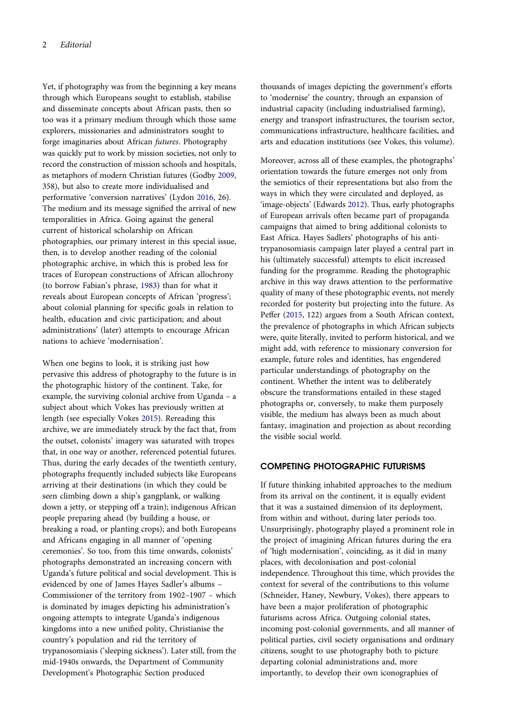<span id="page-1-0"></span>Yet, if photography was from the beginning a key means through which Europeans sought to establish, stabilise and disseminate concepts about African pasts, then so too was it a primary medium through which those same explorers, missionaries and administrators sought to forge imaginaries about African futures. Photography was quickly put to work by mission societies, not only to record the construction of mission schools and hospitals, as metaphors of modern Christian futures (Godby [2009](#page-8-0), 358), but also to create more individualised and performative 'conversion narratives' (Lydon [2016,](#page-9-0) 26). The medium and its message signified the arrival of new temporalities in Africa. Going against the general current of historical scholarship on African photographies, our primary interest in this special issue, then, is to develop another reading of the colonial photographic archive, in which this is probed less for traces of European constructions of African allochrony (to borrow Fabian's phrase, [1983\)](#page-8-0) than for what it reveals about European concepts of African 'progress'; about colonial planning for specific goals in relation to health, education and civic participation; and about administrations' (later) attempts to encourage African nations to achieve 'modernisation'.

When one begins to look, it is striking just how pervasive this address of photography to the future is in the photographic history of the continent. Take, for example, the surviving colonial archive from Uganda – a subject about which Vokes has previously written at length (see especially Vokes [2015\)](#page-9-0). Rereading this archive, we are immediately struck by the fact that, from the outset, colonists' imagery was saturated with tropes that, in one way or another, referenced potential futures. Thus, during the early decades of the twentieth century, photographs frequently included subjects like Europeans arriving at their destinations (in which they could be seen climbing down a ship's gangplank, or walking down a jetty, or stepping off a train); indigenous African people preparing ahead (by building a house, or breaking a road, or planting crops); and both Europeans and Africans engaging in all manner of 'opening ceremonies'. So too, from this time onwards, colonists' photographs demonstrated an increasing concern with Uganda's future political and social development. This is evidenced by one of James Hayes Sadler's albums – Commissioner of the territory from 1902–1907 – which is dominated by images depicting his administration's ongoing attempts to integrate Uganda's indigenous kingdoms into a new unified polity, Christianise the country's population and rid the territory of trypanosomiasis ('sleeping sickness'). Later still, from the mid-1940s onwards, the Department of Community Development's Photographic Section produced

thousands of images depicting the government's efforts to 'modernise' the country, through an expansion of industrial capacity (including industrialised farming), energy and transport infrastructures, the tourism sector, communications infrastructure, healthcare facilities, and arts and education institutions (see Vokes, this volume).

Moreover, across all of these examples, the photographs' orientation towards the future emerges not only from the semiotics of their representations but also from the ways in which they were circulated and deployed, as 'image-objects' (Edwards [2012](#page-8-0)). Thus, early photographs of European arrivals often became part of propaganda campaigns that aimed to bring additional colonists to East Africa. Hayes Sadlers' photographs of his antitrypanosomiasis campaign later played a central part in his (ultimately successful) attempts to elicit increased funding for the programme. Reading the photographic archive in this way draws attention to the performative quality of many of these photographic events, not merely recorded for posterity but projecting into the future. As Peffer ([2015,](#page-9-0) 122) argues from a South African context, the prevalence of photographs in which African subjects were, quite literally, invited to perform historical, and we might add, with reference to missionary conversion for example, future roles and identities, has engendered particular understandings of photography on the continent. Whether the intent was to deliberately obscure the transformations entailed in these staged photographs or, conversely, to make them purposely visible, the medium has always been as much about fantasy, imagination and projection as about recording the visible social world.

# COMPETING PHOTOGRAPHIC FUTURISMS

If future thinking inhabited approaches to the medium from its arrival on the continent, it is equally evident that it was a sustained dimension of its deployment, from within and without, during later periods too. Unsurprisingly, photography played a prominent role in the project of imagining African futures during the era of 'high modernisation', coinciding, as it did in many places, with decolonisation and post-colonial independence. Throughout this time, which provides the context for several of the contributions to this volume (Schneider, Haney, Newbury, Vokes), there appears to have been a major proliferation of photographic futurisms across Africa. Outgoing colonial states, incoming post-colonial governments, and all manner of political parties, civil society organisations and ordinary citizens, sought to use photography both to picture departing colonial administrations and, more importantly, to develop their own iconographies of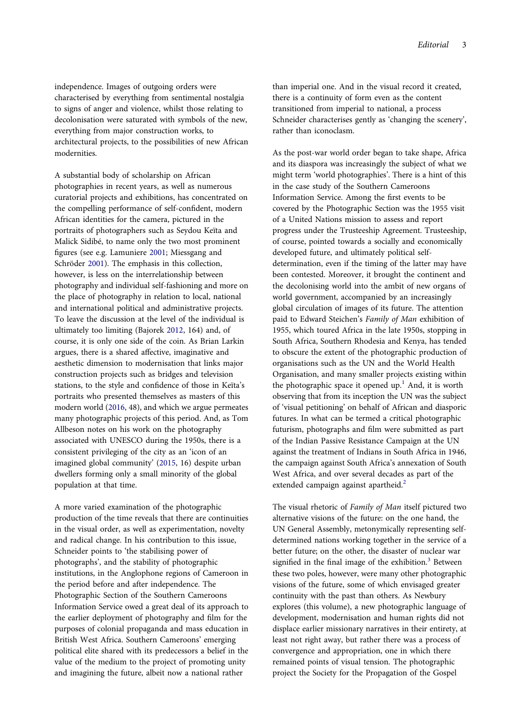<span id="page-2-0"></span>independence. Images of outgoing orders were characterised by everything from sentimental nostalgia to signs of anger and violence, whilst those relating to decolonisation were saturated with symbols of the new, everything from major construction works, to architectural projects, to the possibilities of new African modernities.

A substantial body of scholarship on African photographies in recent years, as well as numerous curatorial projects and exhibitions, has concentrated on the compelling performance of self-confident, modern African identities for the camera, pictured in the portraits of photographers such as Seydou Keïta and Malick Sidibé, to name only the two most prominent figures (see e.g. Lamuniere [2001](#page-9-0); Miessgang and Schröder [2001\)](#page-9-0). The emphasis in this collection, however, is less on the interrelationship between photography and individual self-fashioning and more on the place of photography in relation to local, national and international political and administrative projects. To leave the discussion at the level of the individual is ultimately too limiting (Bajorek [2012](#page-8-0), 164) and, of course, it is only one side of the coin. As Brian Larkin argues, there is a shared affective, imaginative and aesthetic dimension to modernisation that links major construction projects such as bridges and television stations, to the style and confidence of those in Keïta's portraits who presented themselves as masters of this modern world ([2016,](#page-9-0) 48), and which we argue permeates many photographic projects of this period. And, as Tom Allbeson notes on his work on the photography associated with UNESCO during the 1950s, there is a consistent privileging of the city as an 'icon of an imagined global community' [\(2015,](#page-8-0) 16) despite urban dwellers forming only a small minority of the global population at that time.

A more varied examination of the photographic production of the time reveals that there are continuities in the visual order, as well as experimentation, novelty and radical change. In his contribution to this issue, Schneider points to 'the stabilising power of photographs', and the stability of photographic institutions, in the Anglophone regions of Cameroon in the period before and after independence. The Photographic Section of the Southern Cameroons Information Service owed a great deal of its approach to the earlier deployment of photography and film for the purposes of colonial propaganda and mass education in British West Africa. Southern Cameroons' emerging political elite shared with its predecessors a belief in the value of the medium to the project of promoting unity and imagining the future, albeit now a national rather

than imperial one. And in the visual record it created, there is a continuity of form even as the content transitioned from imperial to national, a process Schneider characterises gently as 'changing the scenery', rather than iconoclasm.

As the post-war world order began to take shape, Africa and its diaspora was increasingly the subject of what we might term 'world photographies'. There is a hint of this in the case study of the Southern Cameroons Information Service. Among the first events to be covered by the Photographic Section was the 1955 visit of a United Nations mission to assess and report progress under the Trusteeship Agreement. Trusteeship, of course, pointed towards a socially and economically developed future, and ultimately political selfdetermination, even if the timing of the latter may have been contested. Moreover, it brought the continent and the decolonising world into the ambit of new organs of world government, accompanied by an increasingly global circulation of images of its future. The attention paid to Edward Steichen's Family of Man exhibition of 1955, which toured Africa in the late 1950s, stopping in South Africa, Southern Rhodesia and Kenya, has tended to obscure the extent of the photographic production of organisations such as the UN and the World Health Organisation, and many smaller projects existing within the photographic space it opened up.<sup>[1](#page-8-0)</sup> And, it is worth observing that from its inception the UN was the subject of 'visual petitioning' on behalf of African and diasporic futures. In what can be termed a critical photographic futurism, photographs and film were submitted as part of the Indian Passive Resistance Campaign at the UN against the treatment of Indians in South Africa in 1946, the campaign against South Africa's annexation of South West Africa, and over several decades as part of the extended campaign against apartheid.<sup>[2](#page-8-0)</sup>

The visual rhetoric of Family of Man itself pictured two alternative visions of the future: on the one hand, the UN General Assembly, metonymically representing selfdetermined nations working together in the service of a better future; on the other, the disaster of nuclear war signified in the final image of the exhibition. $3$  Between these two poles, however, were many other photographic visions of the future, some of which envisaged greater continuity with the past than others. As Newbury explores (this volume), a new photographic language of development, modernisation and human rights did not displace earlier missionary narratives in their entirety, at least not right away, but rather there was a process of convergence and appropriation, one in which there remained points of visual tension. The photographic project the Society for the Propagation of the Gospel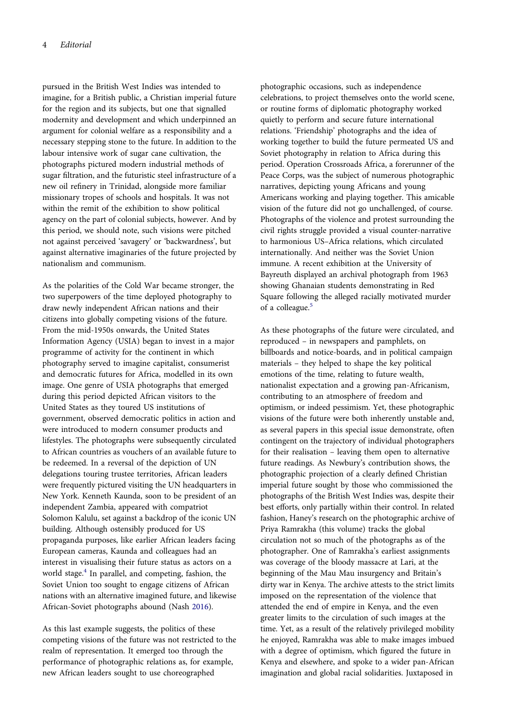<span id="page-3-0"></span>pursued in the British West Indies was intended to imagine, for a British public, a Christian imperial future for the region and its subjects, but one that signalled modernity and development and which underpinned an argument for colonial welfare as a responsibility and a necessary stepping stone to the future. In addition to the labour intensive work of sugar cane cultivation, the photographs pictured modern industrial methods of sugar filtration, and the futuristic steel infrastructure of a new oil refinery in Trinidad, alongside more familiar missionary tropes of schools and hospitals. It was not within the remit of the exhibition to show political agency on the part of colonial subjects, however. And by this period, we should note, such visions were pitched not against perceived 'savagery' or 'backwardness', but against alternative imaginaries of the future projected by nationalism and communism.

As the polarities of the Cold War became stronger, the two superpowers of the time deployed photography to draw newly independent African nations and their citizens into globally competing visions of the future. From the mid-1950s onwards, the United States Information Agency (USIA) began to invest in a major programme of activity for the continent in which photography served to imagine capitalist, consumerist and democratic futures for Africa, modelled in its own image. One genre of USIA photographs that emerged during this period depicted African visitors to the United States as they toured US institutions of government, observed democratic politics in action and were introduced to modern consumer products and lifestyles. The photographs were subsequently circulated to African countries as vouchers of an available future to be redeemed. In a reversal of the depiction of UN delegations touring trustee territories, African leaders were frequently pictured visiting the UN headquarters in New York. Kenneth Kaunda, soon to be president of an independent Zambia, appeared with compatriot Solomon Kalulu, set against a backdrop of the iconic UN building. Although ostensibly produced for US propaganda purposes, like earlier African leaders facing European cameras, Kaunda and colleagues had an interest in visualising their future status as actors on a world stage.<sup>[4](#page-8-0)</sup> In parallel, and competing, fashion, the Soviet Union too sought to engage citizens of African nations with an alternative imagined future, and likewise African-Soviet photographs abound (Nash [2016\)](#page-9-0).

As this last example suggests, the politics of these competing visions of the future was not restricted to the realm of representation. It emerged too through the performance of photographic relations as, for example, new African leaders sought to use choreographed

photographic occasions, such as independence celebrations, to project themselves onto the world scene, or routine forms of diplomatic photography worked quietly to perform and secure future international relations. 'Friendship' photographs and the idea of working together to build the future permeated US and Soviet photography in relation to Africa during this period. Operation Crossroads Africa, a forerunner of the Peace Corps, was the subject of numerous photographic narratives, depicting young Africans and young Americans working and playing together. This amicable vision of the future did not go unchallenged, of course. Photographs of the violence and protest surrounding the civil rights struggle provided a visual counter-narrative to harmonious US–Africa relations, which circulated internationally. And neither was the Soviet Union immune. A recent exhibition at the University of Bayreuth displayed an archival photograph from 1963 showing Ghanaian students demonstrating in Red Square following the alleged racially motivated murder of a colleague.<sup>[5](#page-8-0)</sup>

As these photographs of the future were circulated, and reproduced – in newspapers and pamphlets, on billboards and notice-boards, and in political campaign materials – they helped to shape the key political emotions of the time, relating to future wealth, nationalist expectation and a growing pan-Africanism, contributing to an atmosphere of freedom and optimism, or indeed pessimism. Yet, these photographic visions of the future were both inherently unstable and, as several papers in this special issue demonstrate, often contingent on the trajectory of individual photographers for their realisation – leaving them open to alternative future readings. As Newbury's contribution shows, the photographic projection of a clearly defined Christian imperial future sought by those who commissioned the photographs of the British West Indies was, despite their best efforts, only partially within their control. In related fashion, Haney's research on the photographic archive of Priya Ramrakha (this volume) tracks the global circulation not so much of the photographs as of the photographer. One of Ramrakha's earliest assignments was coverage of the bloody massacre at Lari, at the beginning of the Mau Mau insurgency and Britain's dirty war in Kenya. The archive attests to the strict limits imposed on the representation of the violence that attended the end of empire in Kenya, and the even greater limits to the circulation of such images at the time. Yet, as a result of the relatively privileged mobility he enjoyed, Ramrakha was able to make images imbued with a degree of optimism, which figured the future in Kenya and elsewhere, and spoke to a wider pan-African imagination and global racial solidarities. Juxtaposed in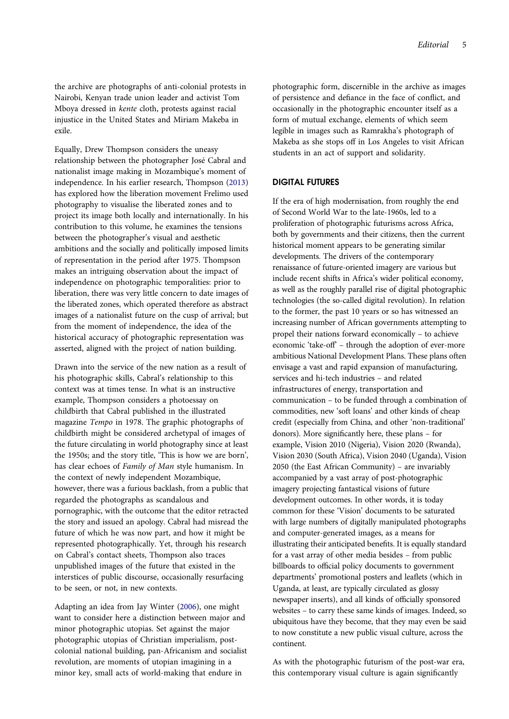<span id="page-4-0"></span>the archive are photographs of anti-colonial protests in Nairobi, Kenyan trade union leader and activist Tom Mboya dressed in kente cloth, protests against racial injustice in the United States and Miriam Makeba in exile.

Equally, Drew Thompson considers the uneasy relationship between the photographer José Cabral and nationalist image making in Mozambique's moment of independence. In his earlier research, Thompson ([2013](#page-9-0)) has explored how the liberation movement Frelimo used photography to visualise the liberated zones and to project its image both locally and internationally. In his contribution to this volume, he examines the tensions between the photographer's visual and aesthetic ambitions and the socially and politically imposed limits of representation in the period after 1975. Thompson makes an intriguing observation about the impact of independence on photographic temporalities: prior to liberation, there was very little concern to date images of the liberated zones, which operated therefore as abstract images of a nationalist future on the cusp of arrival; but from the moment of independence, the idea of the historical accuracy of photographic representation was asserted, aligned with the project of nation building.

Drawn into the service of the new nation as a result of his photographic skills, Cabral's relationship to this context was at times tense. In what is an instructive example, Thompson considers a photoessay on childbirth that Cabral published in the illustrated magazine Tempo in 1978. The graphic photographs of childbirth might be considered archetypal of images of the future circulating in world photography since at least the 1950s; and the story title, 'This is how we are born', has clear echoes of Family of Man style humanism. In the context of newly independent Mozambique, however, there was a furious backlash, from a public that regarded the photographs as scandalous and pornographic, with the outcome that the editor retracted the story and issued an apology. Cabral had misread the future of which he was now part, and how it might be represented photographically. Yet, through his research on Cabral's contact sheets, Thompson also traces unpublished images of the future that existed in the interstices of public discourse, occasionally resurfacing to be seen, or not, in new contexts.

Adapting an idea from Jay Winter ([2006\)](#page-9-0), one might want to consider here a distinction between major and minor photographic utopias. Set against the major photographic utopias of Christian imperialism, postcolonial national building, pan-Africanism and socialist revolution, are moments of utopian imagining in a minor key, small acts of world-making that endure in

photographic form, discernible in the archive as images of persistence and defiance in the face of conflict, and occasionally in the photographic encounter itself as a form of mutual exchange, elements of which seem legible in images such as Ramrakha's photograph of Makeba as she stops off in Los Angeles to visit African students in an act of support and solidarity.

#### DIGITAL FUTURES

If the era of high modernisation, from roughly the end of Second World War to the late-1960s, led to a proliferation of photographic futurisms across Africa, both by governments and their citizens, then the current historical moment appears to be generating similar developments. The drivers of the contemporary renaissance of future-oriented imagery are various but include recent shifts in Africa's wider political economy, as well as the roughly parallel rise of digital photographic technologies (the so-called digital revolution). In relation to the former, the past 10 years or so has witnessed an increasing number of African governments attempting to propel their nations forward economically – to achieve economic 'take-off' – through the adoption of ever-more ambitious National Development Plans. These plans often envisage a vast and rapid expansion of manufacturing, services and hi-tech industries – and related infrastructures of energy, transportation and communication – to be funded through a combination of commodities, new 'soft loans' and other kinds of cheap credit (especially from China, and other 'non-traditional' donors). More significantly here, these plans – for example, Vision 2010 (Nigeria), Vision 2020 (Rwanda), Vision 2030 (South Africa), Vision 2040 (Uganda), Vision 2050 (the East African Community) – are invariably accompanied by a vast array of post-photographic imagery projecting fantastical visions of future development outcomes. In other words, it is today common for these 'Vision' documents to be saturated with large numbers of digitally manipulated photographs and computer-generated images, as a means for illustrating their anticipated benefits. It is equally standard for a vast array of other media besides – from public billboards to official policy documents to government departments' promotional posters and leaflets (which in Uganda, at least, are typically circulated as glossy newspaper inserts), and all kinds of officially sponsored websites – to carry these same kinds of images. Indeed, so ubiquitous have they become, that they may even be said to now constitute a new public visual culture, across the continent.

As with the photographic futurism of the post-war era, this contemporary visual culture is again significantly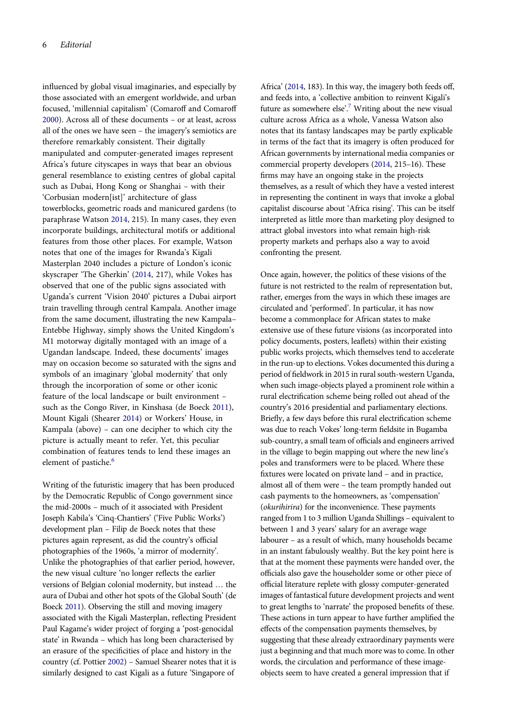<span id="page-5-0"></span>influenced by global visual imaginaries, and especially by those associated with an emergent worldwide, and urban focused, 'millennial capitalism' (Comaroff and Comaroff [2000\)](#page-8-0). Across all of these documents – or at least, across all of the ones we have seen – the imagery's semiotics are therefore remarkably consistent. Their digitally manipulated and computer-generated images represent Africa's future cityscapes in ways that bear an obvious general resemblance to existing centres of global capital such as Dubai, Hong Kong or Shanghai – with their 'Corbusian modern[ist]' architecture of glass towerblocks, geometric roads and manicured gardens (to paraphrase Watson [2014](#page-9-0), 215). In many cases, they even incorporate buildings, architectural motifs or additional features from those other places. For example, Watson notes that one of the images for Rwanda's Kigali Masterplan 2040 includes a picture of London's iconic skyscraper 'The Gherkin' ([2014,](#page-9-0) 217), while Vokes has observed that one of the public signs associated with Uganda's current 'Vision 2040' pictures a Dubai airport train travelling through central Kampala. Another image from the same document, illustrating the new Kampala– Entebbe Highway, simply shows the United Kingdom's M1 motorway digitally montaged with an image of a Ugandan landscape. Indeed, these documents' images may on occasion become so saturated with the signs and symbols of an imaginary 'global modernity' that only through the incorporation of some or other iconic feature of the local landscape or built environment – such as the Congo River, in Kinshasa (de Boeck [2011\)](#page-8-0), Mount Kigali (Shearer [2014\)](#page-9-0) or Workers' House, in Kampala (above) – can one decipher to which city the picture is actually meant to refer. Yet, this peculiar combination of features tends to lend these images an element of pastiche.<sup>[6](#page-8-0)</sup>

Writing of the futuristic imagery that has been produced by the Democratic Republic of Congo government since the mid-2000s – much of it associated with President Joseph Kabila's 'Cinq-Chantiers' ('Five Public Works') development plan – Filip de Boeck notes that these pictures again represent, as did the country's official photographies of the 1960s, 'a mirror of modernity'. Unlike the photographies of that earlier period, however, the new visual culture 'no longer reflects the earlier versions of Belgian colonial modernity, but instead … the aura of Dubai and other hot spots of the Global South' (de Boeck [2011\)](#page-8-0). Observing the still and moving imagery associated with the Kigali Masterplan, reflecting President Paul Kagame's wider project of forging a 'post-genocidal state' in Rwanda – which has long been characterised by an erasure of the specificities of place and history in the country (cf. Pottier [2002\)](#page-9-0) – Samuel Shearer notes that it is similarly designed to cast Kigali as a future 'Singapore of

Africa' [\(2014](#page-9-0), 183). In this way, the imagery both feeds off, and feeds into, a 'collective ambition to reinvent Kigali's future as somewhere else'. [7](#page-8-0) Writing about the new visual culture across Africa as a whole, Vanessa Watson also notes that its fantasy landscapes may be partly explicable in terms of the fact that its imagery is often produced for African governments by international media companies or commercial property developers ([2014](#page-9-0), 215–16). These firms may have an ongoing stake in the projects themselves, as a result of which they have a vested interest in representing the continent in ways that invoke a global capitalist discourse about 'Africa rising'. This can be itself interpreted as little more than marketing ploy designed to attract global investors into what remain high-risk property markets and perhaps also a way to avoid confronting the present.

Once again, however, the politics of these visions of the future is not restricted to the realm of representation but, rather, emerges from the ways in which these images are circulated and 'performed'. In particular, it has now become a commonplace for African states to make extensive use of these future visions (as incorporated into policy documents, posters, leaflets) within their existing public works projects, which themselves tend to accelerate in the run-up to elections. Vokes documented this during a period of fieldwork in 2015 in rural south-western Uganda, when such image-objects played a prominent role within a rural electrification scheme being rolled out ahead of the country's 2016 presidential and parliamentary elections. Briefly, a few days before this rural electrification scheme was due to reach Vokes' long-term fieldsite in Bugamba sub-country, a small team of officials and engineers arrived in the village to begin mapping out where the new line's poles and transformers were to be placed. Where these fixtures were located on private land – and in practice, almost all of them were – the team promptly handed out cash payments to the homeowners, as 'compensation' (okurihirira) for the inconvenience. These payments ranged from 1 to 3 million Uganda Shillings – equivalent to between 1 and 3 years' salary for an average wage labourer – as a result of which, many households became in an instant fabulously wealthy. But the key point here is that at the moment these payments were handed over, the officials also gave the householder some or other piece of official literature replete with glossy computer-generated images of fantastical future development projects and went to great lengths to 'narrate' the proposed benefits of these. These actions in turn appear to have further amplified the effects of the compensation payments themselves, by suggesting that these already extraordinary payments were just a beginning and that much more was to come. In other words, the circulation and performance of these imageobjects seem to have created a general impression that if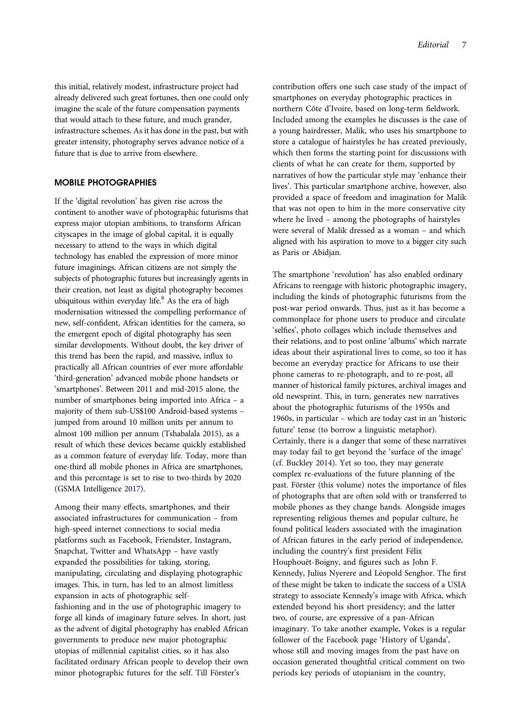<span id="page-6-0"></span>this initial, relatively modest, infrastructure project had already delivered such great fortunes, then one could only imagine the scale of the future compensation payments that would attach to these future, and much grander, infrastructure schemes. As it has done in the past, but with greater intensity, photography serves advance notice of a future that is due to arrive from elsewhere.

# MOBILE PHOTOGRAPHIES

If the 'digital revolution' has given rise across the continent to another wave of photographic futurisms that express major utopian ambitions, to transform African cityscapes in the image of global capital, it is equally necessary to attend to the ways in which digital technology has enabled the expression of more minor future imaginings. African citizens are not simply the subjects of photographic futures but increasingly agents in their creation, not least as digital photography becomes ubiquitous within everyday life.<sup>[8](#page-8-0)</sup> As the era of high modernisation witnessed the compelling performance of new, self-confident, African identities for the camera, so the emergent epoch of digital photography has seen similar developments. Without doubt, the key driver of this trend has been the rapid, and massive, influx to practically all African countries of ever more affordable 'third-generation' advanced mobile phone handsets or 'smartphones'. Between 2011 and mid-2015 alone, the number of smartphones being imported into Africa – a majority of them sub-US\$100 Android-based systems – jumped from around 10 million units per annum to almost 100 million per annum (Tshabalala [2015\)](#page-9-0), as a result of which these devices became quickly established as a common feature of everyday life. Today, more than one-third all mobile phones in Africa are smartphones, and this percentage is set to rise to two-thirds by 2020 (GSMA Intelligence [2017](#page-8-0)).

Among their many effects, smartphones, and their associated infrastructures for communication – from high-speed internet connections to social media platforms such as Facebook, Friendster, Instagram, Snapchat, Twitter and WhatsApp – have vastly expanded the possibilities for taking, storing, manipulating, circulating and displaying photographic images. This, in turn, has led to an almost limitless expansion in acts of photographic selffashioning and in the use of photographic imagery to forge all kinds of imaginary future selves. In short, just as the advent of digital photography has enabled African governments to produce new major photographic utopias of millennial capitalist cities, so it has also facilitated ordinary African people to develop their own minor photographic futures for the self. Till Förster's

contribution offers one such case study of the impact of smartphones on everyday photographic practices in northern Côte d'Ivoire, based on long-term fieldwork. Included among the examples he discusses is the case of a young hairdresser, Malik, who uses his smartphone to store a catalogue of hairstyles he has created previously, which then forms the starting point for discussions with clients of what he can create for them, supported by narratives of how the particular style may 'enhance their lives'. This particular smartphone archive, however, also provided a space of freedom and imagination for Malik that was not open to him in the more conservative city where he lived – among the photographs of hairstyles were several of Malik dressed as a woman – and which aligned with his aspiration to move to a bigger city such as Paris or Abidjan.

The smartphone 'revolution' has also enabled ordinary Africans to reengage with historic photographic imagery, including the kinds of photographic futurisms from the post-war period onwards. Thus, just as it has become a commonplace for phone users to produce and circulate 'selfies', photo collages which include themselves and their relations, and to post online 'albums' which narrate ideas about their aspirational lives to come, so too it has become an everyday practice for Africans to use their phone cameras to re-photograph, and to re-post, all manner of historical family pictures, archival images and old newsprint. This, in turn, generates new narratives about the photographic futurisms of the 1950s and 1960s, in particular – which are today cast in an 'historic future' tense (to borrow a linguistic metaphor). Certainly, there is a danger that some of these narratives may today fail to get beyond the 'surface of the image' (cf. Buckley [2014\)](#page-8-0). Yet so too, they may generate complex re-evaluations of the future planning of the past. Förster (this volume) notes the importance of files of photographs that are often sold with or transferred to mobile phones as they change hands. Alongside images representing religious themes and popular culture, he found political leaders associated with the imagination of African futures in the early period of independence, including the country's first president Félix Houphouët-Boigny, and figures such as John F. Kennedy, Julius Nyerere and Léopold Senghor. The first of these might be taken to indicate the success of a USIA strategy to associate Kennedy's image with Africa, which extended beyond his short presidency; and the latter two, of course, are expressive of a pan-African imaginary. To take another example, Vokes is a regular follower of the Facebook page 'History of Uganda', whose still and moving images from the past have on occasion generated thoughtful critical comment on two periods key periods of utopianism in the country,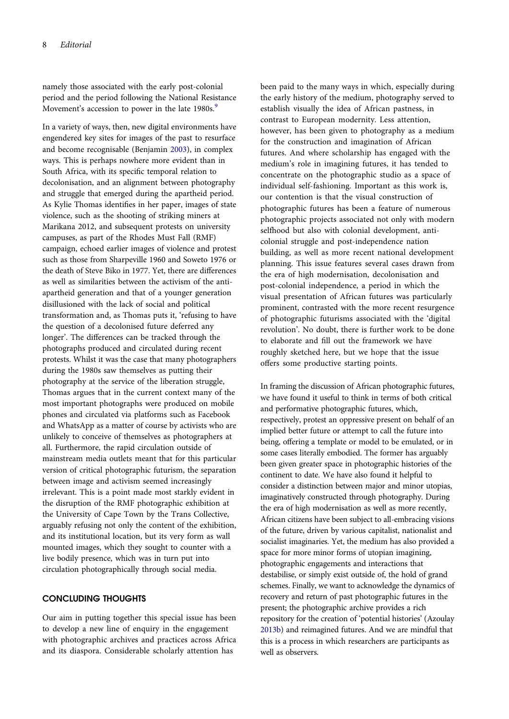<span id="page-7-0"></span>namely those associated with the early post-colonial period and the period following the National Resistance Movement's accession to power in the late 1980s.<sup>9</sup>

In a variety of ways, then, new digital environments have engendered key sites for images of the past to resurface and become recognisable (Benjamin [2003](#page-8-0)), in complex ways. This is perhaps nowhere more evident than in South Africa, with its specific temporal relation to decolonisation, and an alignment between photography and struggle that emerged during the apartheid period. As Kylie Thomas identifies in her paper, images of state violence, such as the shooting of striking miners at Marikana 2012, and subsequent protests on university campuses, as part of the Rhodes Must Fall (RMF) campaign, echoed earlier images of violence and protest such as those from Sharpeville 1960 and Soweto 1976 or the death of Steve Biko in 1977. Yet, there are differences as well as similarities between the activism of the antiapartheid generation and that of a younger generation disillusioned with the lack of social and political transformation and, as Thomas puts it, 'refusing to have the question of a decolonised future deferred any longer'. The differences can be tracked through the photographs produced and circulated during recent protests. Whilst it was the case that many photographers during the 1980s saw themselves as putting their photography at the service of the liberation struggle, Thomas argues that in the current context many of the most important photographs were produced on mobile phones and circulated via platforms such as Facebook and WhatsApp as a matter of course by activists who are unlikely to conceive of themselves as photographers at all. Furthermore, the rapid circulation outside of mainstream media outlets meant that for this particular version of critical photographic futurism, the separation between image and activism seemed increasingly irrelevant. This is a point made most starkly evident in the disruption of the RMF photographic exhibition at the University of Cape Town by the Trans Collective, arguably refusing not only the content of the exhibition, and its institutional location, but its very form as wall mounted images, which they sought to counter with a live bodily presence, which was in turn put into circulation photographically through social media.

### CONCLUDING THOUGHTS

Our aim in putting together this special issue has been to develop a new line of enquiry in the engagement with photographic archives and practices across Africa and its diaspora. Considerable scholarly attention has

been paid to the many ways in which, especially during the early history of the medium, photography served to establish visually the idea of African pastness, in contrast to European modernity. Less attention, however, has been given to photography as a medium for the construction and imagination of African futures. And where scholarship has engaged with the medium's role in imagining futures, it has tended to concentrate on the photographic studio as a space of individual self-fashioning. Important as this work is, our contention is that the visual construction of photographic futures has been a feature of numerous photographic projects associated not only with modern selfhood but also with colonial development, anticolonial struggle and post-independence nation building, as well as more recent national development planning. This issue features several cases drawn from the era of high modernisation, decolonisation and post-colonial independence, a period in which the visual presentation of African futures was particularly prominent, contrasted with the more recent resurgence of photographic futurisms associated with the 'digital revolution'. No doubt, there is further work to be done to elaborate and fill out the framework we have roughly sketched here, but we hope that the issue offers some productive starting points.

In framing the discussion of African photographic futures, we have found it useful to think in terms of both critical and performative photographic futures, which, respectively, protest an oppressive present on behalf of an implied better future or attempt to call the future into being, offering a template or model to be emulated, or in some cases literally embodied. The former has arguably been given greater space in photographic histories of the continent to date. We have also found it helpful to consider a distinction between major and minor utopias, imaginatively constructed through photography. During the era of high modernisation as well as more recently, African citizens have been subject to all-embracing visions of the future, driven by various capitalist, nationalist and socialist imaginaries. Yet, the medium has also provided a space for more minor forms of utopian imagining, photographic engagements and interactions that destabilise, or simply exist outside of, the hold of grand schemes. Finally, we want to acknowledge the dynamics of recovery and return of past photographic futures in the present; the photographic archive provides a rich repository for the creation of 'potential histories' (Azoulay [2013b](#page-8-0)) and reimagined futures. And we are mindful that this is a process in which researchers are participants as well as observers.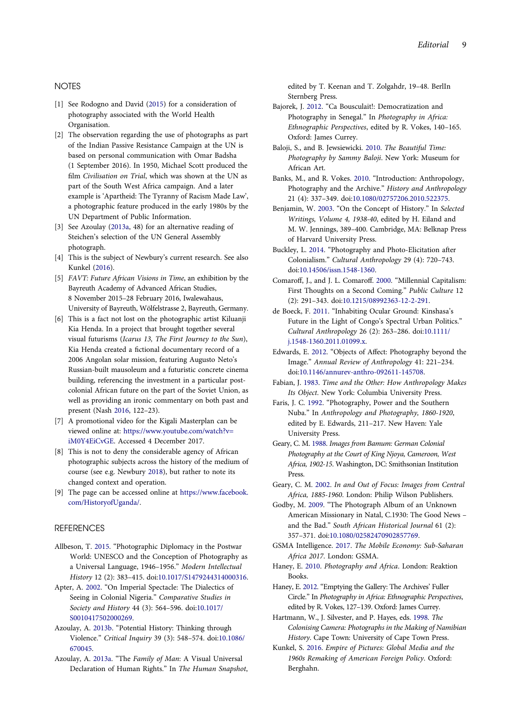#### <span id="page-8-0"></span>**NOTES**

- [1] See Rodogno and David ([2015](#page-9-0)) for a consideration of photography associated with the World Health Organisation.
- [2] The observation regarding the use of photographs as part of the Indian Passive Resistance Campaign at the UN is based on personal communication with Omar Badsha (1 September 2016). In 1950, Michael Scott produced the film Civilisation on Trial, which was shown at the UN as part of the South West Africa campaign. And a later example is 'Apartheid: The Tyranny of Racism Made Law', a photographic feature produced in the early 1980s by the UN Department of Public Information.
- [3] See Azoulay (2013a, 48) for an alternative reading of Steichen's selection of the UN General Assembly photograph.
- [4] This is the subject of Newbury's current research. See also Kunkel (2016).
- [5] FAVT: Future African Visions in Time, an exhibition by the Bayreuth Academy of Advanced African Studies, 8 November 2015–28 February 2016, Iwalewahaus, University of Bayreuth, Wölfelstrasse 2, Bayreuth, Germany.
- [6] This is a fact not lost on the photographic artist Kiluanji Kia Henda. In a project that brought together several visual futurisms (Icarus 13, The First Journey to the Sun), Kia Henda created a fictional documentary record of a 2006 Angolan solar mission, featuring Augusto Neto's Russian-built mausoleum and a futuristic concrete cinema building, referencing the investment in a particular postcolonial African future on the part of the Soviet Union, as well as providing an ironic commentary on both past and present (Nash [2016,](#page-9-0) 122–23).
- [7] A promotional video for the Kigali Masterplan can be viewed online at: [https://www.youtube.com/watch?v=](https://www.youtube.com/watch?v=iM0Y4EiCvGE) [iM0Y4EiCvGE](https://www.youtube.com/watch?v=iM0Y4EiCvGE). Accessed 4 December 2017.
- [8] This is not to deny the considerable agency of African photographic subjects across the history of the medium of course (see e.g. Newbury [2018\)](#page-9-0), but rather to note its changed context and operation.
- [9] The page can be accessed online at [https://www.facebook.](https://www.facebook.com/HistoryofUganda/) [com/HistoryofUganda/](https://www.facebook.com/HistoryofUganda/).

# **REFERENCES**

- Allbeson, T. [2015.](#page-2-0) "Photographic Diplomacy in the Postwar World: UNESCO and the Conception of Photography as a Universal Language, 1946–1956." Modern Intellectual History 12 (2): 383–415. doi[:10.1017/S1479244314000316.](https://doi.org/10.1017/S1479244314000316)
- Apter, A. [2002.](#page-0-0) "On Imperial Spectacle: The Dialectics of Seeing in Colonial Nigeria." Comparative Studies in Society and History 44 (3): 564–596. doi[:10.1017/](https://doi.org/10.1017/S0010417502000269) [S0010417502000269.](https://doi.org/10.1017/S0010417502000269)
- Azoulay, A. [2013b.](#page-7-0) "Potential History: Thinking through Violence." Critical Inquiry 39 (3): 548–574. doi:[10.1086/](https://doi.org/10.1086/670045) [670045](https://doi.org/10.1086/670045).
- Azoulay, A. 2013a. "The Family of Man: A Visual Universal Declaration of Human Rights." In The Human Snapshot,

edited by T. Keenan and T. Zolgahdr, 19–48. BerlIn Sternberg Press.

- Bajorek, J. [2012](#page-0-0). "Ca Bousculait!: Democratization and Photography in Senegal." In Photography in Africa: Ethnographic Perspectives, edited by R. Vokes, 140–165. Oxford: James Currey.
- Baloji, S., and B. Jewsiewicki. [2010.](#page-0-0) The Beautiful Time: Photography by Sammy Baloji. New York: Museum for African Art.
- Banks, M., and R. Vokes. [2010](#page-0-0). "Introduction: Anthropology, Photography and the Archive." History and Anthropology 21 (4): 337–349. doi[:10.1080/02757206.2010.522375](https://doi.org/10.1080/02757206.2010.522375).
- Benjamin, W. [2003](#page-7-0). "On the Concept of History." In Selected Writings, Volume 4, 1938-40, edited by H. Eiland and M. W. Jennings, 389–400. Cambridge, MA: Belknap Press of Harvard University Press.
- Buckley, L. [2014.](#page-6-0) "Photography and Photo-Elicitation after Colonialism." Cultural Anthropology 29 (4): 720–743. doi[:10.14506/issn.1548-1360](https://doi.org/10.14506/issn.1548-1360).
- Comaroff, J., and J. L. Comaroff. [2000](#page-5-0). "Millennial Capitalism: First Thoughts on a Second Coming." Public Culture 12 (2): 291–343. doi:[10.1215/08992363-12-2-291](https://doi.org/10.1215/08992363-12-2-291).
- de Boeck, F. [2011.](#page-5-0) "Inhabiting Ocular Ground: Kinshasa's Future in the Light of Congo's Spectral Urban Politics." Cultural Anthropology 26 (2): 263–286. doi[:10.1111/](https://doi.org/10.1111/j.1548-1360.2011.01099.x) [j.1548-1360.2011.01099.x](https://doi.org/10.1111/j.1548-1360.2011.01099.x).
- Edwards, E. [2012.](#page-1-0) "Objects of Affect: Photography beyond the Image." Annual Review of Anthropology 41: 221–234. doi[:10.1146/annurev-anthro-092611-145708](https://doi.org/10.1146/annurev-anthro-092611-145708).
- Fabian, J. [1983](#page-1-0). Time and the Other: How Anthropology Makes Its Object. New York: Columbia University Press.
- Faris, J. C. [1992](#page-0-0). "Photography, Power and the Southern Nuba." In Anthropology and Photography, 1860-1920, edited by E. Edwards, 211–217. New Haven: Yale University Press.
- Geary, C. M. [1988](#page-0-0). Images from Bamum: German Colonial Photography at the Court of King Njoya, Cameroon, West Africa, 1902-15. Washington, DC: Smithsonian Institution Press.
- Geary, C. M. [2002](#page-0-0). In and Out of Focus: Images from Central Africa, 1885-1960. London: Philip Wilson Publishers.
- Godby, M. [2009.](#page-1-0) "The Photograph Album of an Unknown American Missionary in Natal, C.1930: The Good News – and the Bad." South African Historical Journal 61 (2): 357–371. doi:[10.1080/02582470902857769](https://doi.org/10.1080/02582470902857769).
- GSMA Intelligence. [2017.](#page-6-0) The Mobile Economy: Sub-Saharan Africa 2017. London: GSMA.
- Haney, E. [2010](#page-0-0). Photography and Africa. London: Reaktion Books.
- Haney, E. [2012.](#page-0-0) "Emptying the Gallery: The Archives' Fuller Circle." In Photography in Africa: Ethnographic Perspectives, edited by R. Vokes, 127–139. Oxford: James Currey.
- Hartmann, W., J. Silvester, and P. Hayes, eds. [1998](#page-0-0). The Colonising Camera: Photographs in the Making of Namibian History. Cape Town: University of Cape Town Press.
- Kunkel, S. 2016. Empire of Pictures: Global Media and the 1960s Remaking of American Foreign Policy. Oxford: Berghahn.